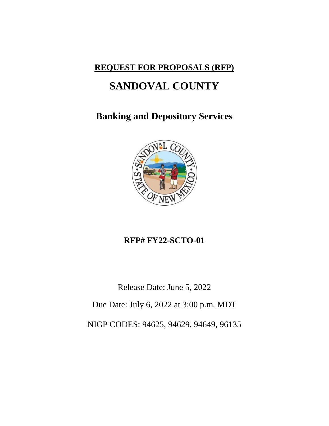## **REQUEST FOR PROPOSALS (RFP)**

## **SANDOVAL COUNTY**

## **Banking and Depository Services**



## **RFP# FY22-SCTO-01**

Release Date: June 5, 2022

Due Date: July 6, 2022 at 3:00 p.m. MDT

NIGP CODES: 94625, 94629, 94649, 96135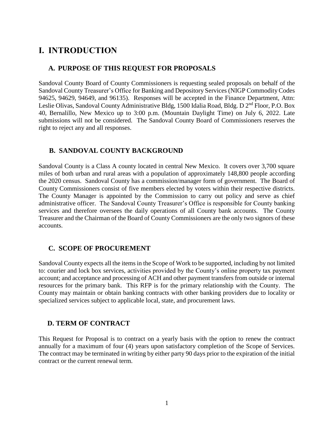## **I. INTRODUCTION**

#### **A. PURPOSE OF THIS REQUEST FOR PROPOSALS**

Sandoval County Board of County Commissioners is requesting sealed proposals on behalf of the Sandoval County Treasurer's Office for Banking and Depository Services (NIGP Commodity Codes 94625, 94629, 94649, and 96135). Responses will be accepted in the Finance Department, Attn: Leslie Olivas, Sandoval County Administrative Bldg, 1500 Idalia Road, Bldg. D 2<sup>nd</sup> Floor, P.O. Box 40, Bernalillo, New Mexico up to 3:00 p.m. (Mountain Daylight Time) on July 6, 2022. Late submissions will not be considered. The Sandoval County Board of Commissioners reserves the right to reject any and all responses.

#### **B. SANDOVAL COUNTY BACKGROUND**

Sandoval County is a Class A county located in central New Mexico. It covers over 3,700 square miles of both urban and rural areas with a population of approximately 148,800 people according the 2020 census. Sandoval County has a commission/manager form of government. The Board of County Commissioners consist of five members elected by voters within their respective districts. The County Manager is appointed by the Commission to carry out policy and serve as chief administrative officer. The Sandoval County Treasurer's Office is responsible for County banking services and therefore oversees the daily operations of all County bank accounts. The County Treasurer and the Chairman of the Board of County Commissioners are the only two signors of these accounts.

#### **C. SCOPE OF PROCUREMENT**

Sandoval County expects all the items in the Scope of Work to be supported, including by not limited to: courier and lock box services, activities provided by the County's online property tax payment account; and acceptance and processing of ACH and other payment transfers from outside or internal resources for the primary bank. This RFP is for the primary relationship with the County. The County may maintain or obtain banking contracts with other banking providers due to locality or specialized services subject to applicable local, state, and procurement laws.

#### **D. TERM OF CONTRACT**

This Request for Proposal is to contract on a yearly basis with the option to renew the contract annually for a maximum of four (4) years upon satisfactory completion of the Scope of Services. The contract may be terminated in writing by either party 90 days prior to the expiration of the initial contract or the current renewal term.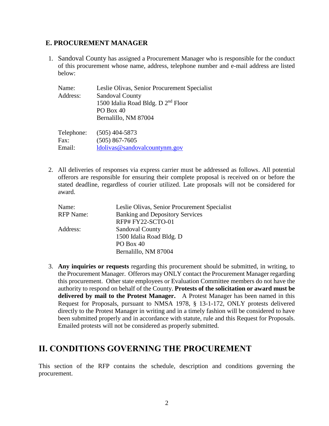#### **E. PROCUREMENT MANAGER**

1. Sandoval County has assigned a Procurement Manager who is responsible for the conduct of this procurement whose name, address, telephone number and e-mail address are listed below:

| Name:<br>Address: | Leslie Olivas, Senior Procurement Specialist<br><b>Sandoval County</b><br>1500 Idalia Road Bldg. D 2 <sup>nd</sup> Floor<br>PO Box 40<br>Bernalillo, NM 87004 |
|-------------------|---------------------------------------------------------------------------------------------------------------------------------------------------------------|
| Telephone:        | $(505)$ 404-5873                                                                                                                                              |
| Fax:              | $(505) 867 - 7605$                                                                                                                                            |
| Email:            | ldolivas@sandovalcountynm.gov                                                                                                                                 |

2. All deliveries of responses via express carrier must be addressed as follows. All potential offerors are responsible for ensuring their complete proposal is received on or before the stated deadline, regardless of courier utilized. Late proposals will not be considered for award.

| Name:            | Leslie Olivas, Senior Procurement Specialist |
|------------------|----------------------------------------------|
| <b>RFP</b> Name: | <b>Banking and Depository Services</b>       |
|                  | RFP#FY22-SCTO-01                             |
| Address:         | <b>Sandoval County</b>                       |
|                  | 1500 Idalia Road Bldg. D                     |
|                  | PO Box 40                                    |
|                  | Bernalillo, NM 87004                         |

3. **Any inquiries or requests** regarding this procurement should be submitted, in writing, to the Procurement Manager. Offerors may ONLY contact the Procurement Manager regarding this procurement. Other state employees or Evaluation Committee members do not have the authority to respond on behalf of the County. **Protests of the solicitation or award must be delivered by mail to the Protest Manager.** A Protest Manager has been named in this Request for Proposals, pursuant to NMSA 1978, § 13-1-172, ONLY protests delivered directly to the Protest Manager in writing and in a timely fashion will be considered to have been submitted properly and in accordance with statute, rule and this Request for Proposals. Emailed protests will not be considered as properly submitted.

## **II. CONDITIONS GOVERNING THE PROCUREMENT**

This section of the RFP contains the schedule, description and conditions governing the procurement.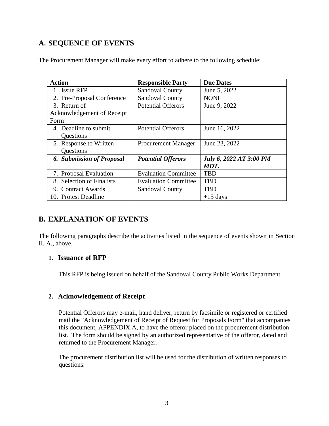### **A. SEQUENCE OF EVENTS**

| <b>Action</b>                    | <b>Responsible Party</b>    | <b>Due Dates</b>               |
|----------------------------------|-----------------------------|--------------------------------|
| 1. Issue RFP                     | <b>Sandoval County</b>      | June 5, 2022                   |
| 2. Pre-Proposal Conference       | <b>Sandoval County</b>      | <b>NONE</b>                    |
| 3. Return of                     | <b>Potential Offerors</b>   | June 9, 2022                   |
| Acknowledgement of Receipt       |                             |                                |
| Form                             |                             |                                |
| 4. Deadline to submit            | <b>Potential Offerors</b>   | June 16, 2022                  |
| Questions                        |                             |                                |
| 5. Response to Written           | <b>Procurement Manager</b>  | June 23, 2022                  |
| Questions                        |                             |                                |
| <b>6. Submission of Proposal</b> | <b>Potential Offerors</b>   | <b>July 6, 2022 AT 3:00 PM</b> |
|                                  |                             | MDT.                           |
| 7. Proposal Evaluation           | <b>Evaluation Committee</b> | <b>TBD</b>                     |
| 8. Selection of Finalists        | <b>Evaluation Committee</b> | <b>TBD</b>                     |
| 9. Contract Awards               | <b>Sandoval County</b>      | <b>TBD</b>                     |
| 10. Protest Deadline             |                             | $+15$ days                     |

The Procurement Manager will make every effort to adhere to the following schedule:

### **B. EXPLANATION OF EVENTS**

The following paragraphs describe the activities listed in the sequence of events shown in Section II. A., above.

#### **1. Issuance of RFP**

This RFP is being issued on behalf of the Sandoval County Public Works Department.

#### **2. Acknowledgement of Receipt**

Potential Offerors may e-mail, hand deliver, return by facsimile or registered or certified mail the "Acknowledgement of Receipt of Request for Proposals Form" that accompanies this document, APPENDIX A, to have the offeror placed on the procurement distribution list. The form should be signed by an authorized representative of the offeror, dated and returned to the Procurement Manager.

The procurement distribution list will be used for the distribution of written responses to questions.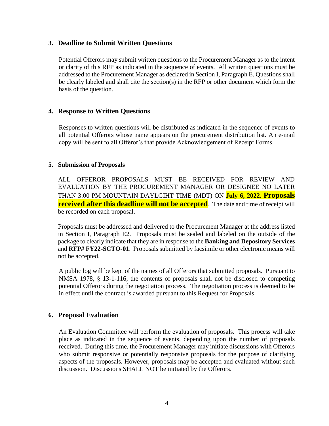#### **3. Deadline to Submit Written Questions**

Potential Offerors may submit written questions to the Procurement Manager as to the intent or clarity of this RFP as indicated in the sequence of events. All written questions must be addressed to the Procurement Manager as declared in Section I, Paragraph E. Questions shall be clearly labeled and shall cite the section(s) in the RFP or other document which form the basis of the question.

#### **4. Response to Written Questions**

Responses to written questions will be distributed as indicated in the sequence of events to all potential Offerors whose name appears on the procurement distribution list. An e-mail copy will be sent to all Offeror's that provide Acknowledgement of Receipt Forms.

#### **5. Submission of Proposals**

ALL OFFEROR PROPOSALS MUST BE RECEIVED FOR REVIEW AND EVALUATION BY THE PROCUREMENT MANAGER OR DESIGNEE NO LATER THAN 3:00 PM MOUNTAIN DAYLGIHT TIME (MDT) ON **July 6, 2022**. **Proposals received after this deadline will not be accepted**. The date and time of receipt will be recorded on each proposal.

Proposals must be addressed and delivered to the Procurement Manager at the address listed in Section I, Paragraph E2. Proposals must be sealed and labeled on the outside of the package to clearly indicate that they are in response to the **Banking and Depository Services** and **RFP# FY22-SCTO-01**. Proposals submitted by facsimile or other electronic means will not be accepted.

A public log will be kept of the names of all Offerors that submitted proposals. Pursuant to NMSA 1978, § 13-1-116, the contents of proposals shall not be disclosed to competing potential Offerors during the negotiation process. The negotiation process is deemed to be in effect until the contract is awarded pursuant to this Request for Proposals.

#### **6. Proposal Evaluation**

An Evaluation Committee will perform the evaluation of proposals. This process will take place as indicated in the sequence of events, depending upon the number of proposals received. During this time, the Procurement Manager may initiate discussions with Offerors who submit responsive or potentially responsive proposals for the purpose of clarifying aspects of the proposals. However, proposals may be accepted and evaluated without such discussion. Discussions SHALL NOT be initiated by the Offerors.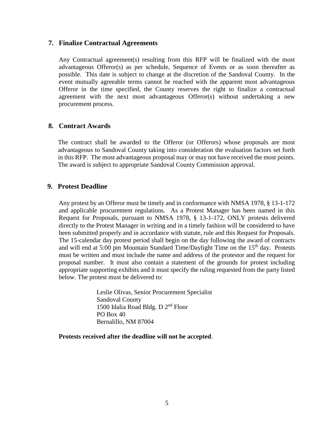#### **7. Finalize Contractual Agreements**

Any Contractual agreement(s) resulting from this RFP will be finalized with the most advantageous Offeror(s) as per schedule, Sequence of Events or as soon thereafter as possible. This date is subject to change at the discretion of the Sandoval County. In the event mutually agreeable terms cannot be reached with the apparent most advantageous Offeror in the time specified, the County reserves the right to finalize a contractual agreement with the next most advantageous Offeror(s) without undertaking a new procurement process.

#### **8. Contract Awards**

The contract shall be awarded to the Offeror (or Offerors) whose proposals are most advantageous to Sandoval County taking into consideration the evaluation factors set forth in this RFP. The most advantageous proposal may or may not have received the most points. The award is subject to appropriate Sandoval County Commission approval.

#### **9. Protest Deadline**

Any protest by an Offeror must be timely and in conformance with NMSA 1978, § 13-1-172 and applicable procurement regulations. As a Protest Manager has been named in this Request for Proposals, pursuant to NMSA 1978, § 13-1-172, ONLY protests delivered directly to the Protest Manager in writing and in a timely fashion will be considered to have been submitted properly and in accordance with statute, rule and this Request for Proposals. The 15-calendar day protest period shall begin on the day following the award of contracts and will end at  $5:00 \text{ pm}$  Mountain Standard Time/Daylight Time on the  $15<sup>th</sup>$  day. Protests must be written and must include the name and address of the protestor and the request for proposal number. It must also contain a statement of the grounds for protest including appropriate supporting exhibits and it must specify the ruling requested from the party listed below. The protest must be delivered to:

> Leslie Olivas, Senior Procurement Specialist Sandoval County 1500 Idalia Road Bldg. D 2<sup>nd</sup> Floor PO Box 40 Bernalillo, NM 87004

**Protests received after the deadline will not be accepted**.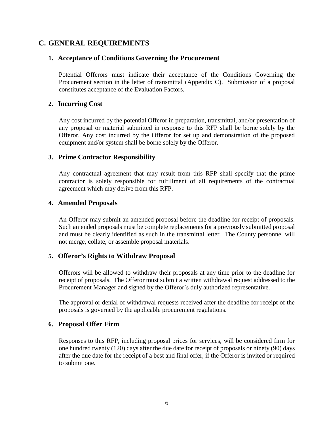#### **C. GENERAL REQUIREMENTS**

#### **1. Acceptance of Conditions Governing the Procurement**

Potential Offerors must indicate their acceptance of the Conditions Governing the Procurement section in the letter of transmittal (Appendix C). Submission of a proposal constitutes acceptance of the Evaluation Factors.

#### **2. Incurring Cost**

Any cost incurred by the potential Offeror in preparation, transmittal, and/or presentation of any proposal or material submitted in response to this RFP shall be borne solely by the Offeror. Any cost incurred by the Offeror for set up and demonstration of the proposed equipment and/or system shall be borne solely by the Offeror.

#### **3. Prime Contractor Responsibility**

Any contractual agreement that may result from this RFP shall specify that the prime contractor is solely responsible for fulfillment of all requirements of the contractual agreement which may derive from this RFP.

#### **4. Amended Proposals**

An Offeror may submit an amended proposal before the deadline for receipt of proposals. Such amended proposals must be complete replacements for a previously submitted proposal and must be clearly identified as such in the transmittal letter. The County personnel will not merge, collate, or assemble proposal materials.

#### **5. Offeror's Rights to Withdraw Proposal**

Offerors will be allowed to withdraw their proposals at any time prior to the deadline for receipt of proposals. The Offeror must submit a written withdrawal request addressed to the Procurement Manager and signed by the Offeror's duly authorized representative.

The approval or denial of withdrawal requests received after the deadline for receipt of the proposals is governed by the applicable procurement regulations.

#### **6. Proposal Offer Firm**

Responses to this RFP, including proposal prices for services, will be considered firm for one hundred twenty (120) days after the due date for receipt of proposals or ninety (90) days after the due date for the receipt of a best and final offer, if the Offeror is invited or required to submit one.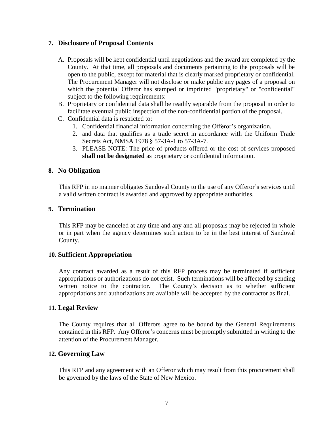#### **7. Disclosure of Proposal Contents**

- A. Proposals will be kept confidential until negotiations and the award are completed by the County. At that time, all proposals and documents pertaining to the proposals will be open to the public, except for material that is clearly marked proprietary or confidential. The Procurement Manager will not disclose or make public any pages of a proposal on which the potential Offeror has stamped or imprinted "proprietary" or "confidential" subject to the following requirements:
- B. Proprietary or confidential data shall be readily separable from the proposal in order to facilitate eventual public inspection of the non-confidential portion of the proposal.
- C. Confidential data is restricted to:
	- 1. Confidential financial information concerning the Offeror's organization.
	- 2. and data that qualifies as a trade secret in accordance with the Uniform Trade Secrets Act, NMSA 1978 § 57-3A-1 to 57-3A-7.
	- 3. PLEASE NOTE: The price of products offered or the cost of services proposed **shall not be designated** as proprietary or confidential information.

#### **8. No Obligation**

This RFP in no manner obligates Sandoval County to the use of any Offeror's services until a valid written contract is awarded and approved by appropriate authorities.

#### **9. Termination**

This RFP may be canceled at any time and any and all proposals may be rejected in whole or in part when the agency determines such action to be in the best interest of Sandoval County.

#### **10. Sufficient Appropriation**

Any contract awarded as a result of this RFP process may be terminated if sufficient appropriations or authorizations do not exist. Such terminations will be affected by sending written notice to the contractor. The County's decision as to whether sufficient appropriations and authorizations are available will be accepted by the contractor as final.

#### **11. Legal Review**

The County requires that all Offerors agree to be bound by the General Requirements contained in this RFP. Any Offeror's concerns must be promptly submitted in writing to the attention of the Procurement Manager.

#### **12. Governing Law**

This RFP and any agreement with an Offeror which may result from this procurement shall be governed by the laws of the State of New Mexico.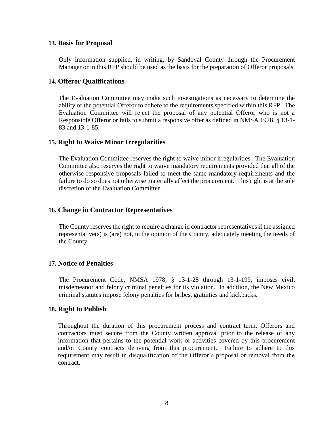#### **13. Basis for Proposal**

Only information supplied, in writing, by Sandoval County through the Procurement Manager or in this RFP should be used as the basis for the preparation of Offeror proposals.

#### **14. Offeror Qualifications**

The Evaluation Committee may make such investigations as necessary to determine the ability of the potential Offeror to adhere to the requirements specified within this RFP. The Evaluation Committee will reject the proposal of any potential Offeror who is not a Responsible Offeror or fails to submit a responsive offer as defined in NMSA 1978, § 13-1- 83 and 13-1-85.

#### **15. Right to Waive Minor Irregularities**

The Evaluation Committee reserves the right to waive minor irregularities. The Evaluation Committee also reserves the right to waive mandatory requirements provided that all of the otherwise responsive proposals failed to meet the same mandatory requirements and the failure to do so does not otherwise materially affect the procurement. This right is at the sole discretion of the Evaluation Committee.

#### **16. Change in Contractor Representatives**

The County reserves the right to require a change in contractor representatives if the assigned representative(s) is (are) not, in the opinion of the County, adequately meeting the needs of the County.

#### **17. Notice of Penalties**

The Procurement Code, NMSA 1978, § 13-1-28 through 13-1-199, imposes civil, misdemeanor and felony criminal penalties for its violation. In addition, the New Mexico criminal statutes impose felony penalties for bribes, gratuities and kickbacks.

#### **18. Right to Publish**

Throughout the duration of this procurement process and contract term, Offerors and contractors must secure from the County written approval prior to the release of any information that pertains to the potential work or activities covered by this procurement and/or County contracts deriving from this procurement. Failure to adhere to this requirement may result in disqualification of the Offeror's proposal or removal from the contract.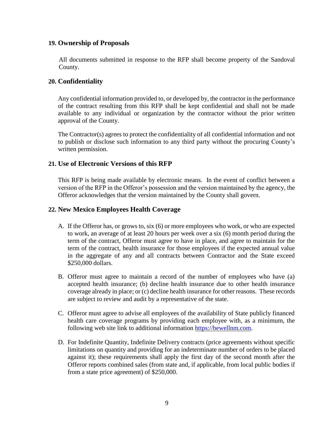#### **19. Ownership of Proposals**

All documents submitted in response to the RFP shall become property of the Sandoval County.

#### **20. Confidentiality**

Any confidential information provided to, or developed by, the contractor in the performance of the contract resulting from this RFP shall be kept confidential and shall not be made available to any individual or organization by the contractor without the prior written approval of the County.

The Contractor(s) agrees to protect the confidentiality of all confidential information and not to publish or disclose such information to any third party without the procuring County's written permission.

#### **21. Use of Electronic Versions of this RFP**

This RFP is being made available by electronic means. In the event of conflict between a version of the RFP in the Offeror's possession and the version maintained by the agency, the Offeror acknowledges that the version maintained by the County shall govern.

#### **22. New Mexico Employees Health Coverage**

- A. If the Offeror has, or grows to, six (6) or more employees who work, or who are expected to work, an average of at least 20 hours per week over a six (6) month period during the term of the contract, Offeror must agree to have in place, and agree to maintain for the term of the contract, health insurance for those employees if the expected annual value in the aggregate of any and all contracts between Contractor and the State exceed \$250,000 dollars.
- B. Offeror must agree to maintain a record of the number of employees who have (a) accepted health insurance; (b) decline health insurance due to other health insurance coverage already in place; or (c) decline health insurance for other reasons. These records are subject to review and audit by a representative of the state.
- C. Offeror must agree to advise all employees of the availability of State publicly financed health care coverage programs by providing each employee with, as a minimum, the following web site link to additional information [https://bewellnm.com.](https://bewellnm.com/)
- D. For Indefinite Quantity, Indefinite Delivery contracts (price agreements without specific limitations on quantity and providing for an indeterminate number of orders to be placed against it); these requirements shall apply the first day of the second month after the Offeror reports combined sales (from state and, if applicable, from local public bodies if from a state price agreement) of \$250,000.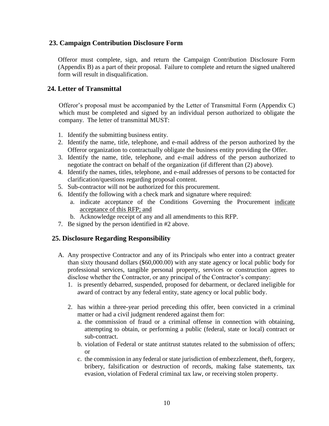#### **23. Campaign Contribution Disclosure Form**

Offeror must complete, sign, and return the Campaign Contribution Disclosure Form (Appendix B) as a part of their proposal. Failure to complete and return the signed unaltered form will result in disqualification.

#### **24. Letter of Transmittal**

Offeror's proposal must be accompanied by the Letter of Transmittal Form (Appendix C) which must be completed and signed by an individual person authorized to obligate the company. The letter of transmittal MUST:

- 1. Identify the submitting business entity.
- 2. Identify the name, title, telephone, and e-mail address of the person authorized by the Offeror organization to contractually obligate the business entity providing the Offer.
- 3. Identify the name, title, telephone, and e-mail address of the person authorized to negotiate the contract on behalf of the organization (if different than (2) above).
- 4. Identify the names, titles, telephone, and e-mail addresses of persons to be contacted for clarification/questions regarding proposal content.
- 5. Sub-contractor will not be authorized for this procurement.
- 6. Identify the following with a check mark and signature where required:
	- a. indicate acceptance of the Conditions Governing the Procurement indicate acceptance of this RFP; and
	- b. Acknowledge receipt of any and all amendments to this RFP.
- 7. Be signed by the person identified in #2 above.

#### **25. Disclosure Regarding Responsibility**

- A. Any prospective Contractor and any of its Principals who enter into a contract greater than sixty thousand dollars (\$60,000.00) with any state agency or local public body for professional services, tangible personal property, services or construction agrees to disclose whether the Contractor, or any principal of the Contractor's company:
	- 1. is presently debarred, suspended, proposed for debarment, or declared ineligible for award of contract by any federal entity, state agency or local public body.
	- 2. has within a three-year period preceding this offer, been convicted in a criminal matter or had a civil judgment rendered against them for:
		- a. the commission of fraud or a criminal offense in connection with obtaining, attempting to obtain, or performing a public (federal, state or local) contract or sub-contract.
		- b. violation of Federal or state antitrust statutes related to the submission of offers; or
		- c. the commission in any federal or state jurisdiction of embezzlement, theft, forgery, bribery, falsification or destruction of records, making false statements, tax evasion, violation of Federal criminal tax law, or receiving stolen property.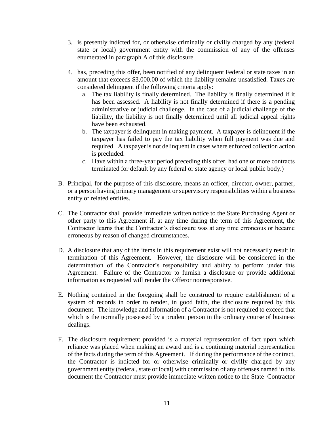- 3. is presently indicted for, or otherwise criminally or civilly charged by any (federal state or local) government entity with the commission of any of the offenses enumerated in paragraph A of this disclosure.
- 4. has, preceding this offer, been notified of any delinquent Federal or state taxes in an amount that exceeds \$3,000.00 of which the liability remains unsatisfied. Taxes are considered delinquent if the following criteria apply:
	- a. The tax liability is finally determined. The liability is finally determined if it has been assessed. A liability is not finally determined if there is a pending administrative or judicial challenge. In the case of a judicial challenge of the liability, the liability is not finally determined until all judicial appeal rights have been exhausted.
	- b. The taxpayer is delinquent in making payment. A taxpayer is delinquent if the taxpayer has failed to pay the tax liability when full payment was due and required. A taxpayer is not delinquent in cases where enforced collection action is precluded.
	- c. Have within a three-year period preceding this offer, had one or more contracts terminated for default by any federal or state agency or local public body.)
- B. Principal, for the purpose of this disclosure, means an officer, director, owner, partner, or a person having primary management or supervisory responsibilities within a business entity or related entities.
- C. The Contractor shall provide immediate written notice to the State Purchasing Agent or other party to this Agreement if, at any time during the term of this Agreement, the Contractor learns that the Contractor's disclosure was at any time erroneous or became erroneous by reason of changed circumstances.
- D. A disclosure that any of the items in this requirement exist will not necessarily result in termination of this Agreement. However, the disclosure will be considered in the determination of the Contractor's responsibility and ability to perform under this Agreement. Failure of the Contractor to furnish a disclosure or provide additional information as requested will render the Offeror nonresponsive.
- E. Nothing contained in the foregoing shall be construed to require establishment of a system of records in order to render, in good faith, the disclosure required by this document. The knowledge and information of a Contractor is not required to exceed that which is the normally possessed by a prudent person in the ordinary course of business dealings.
- F. The disclosure requirement provided is a material representation of fact upon which reliance was placed when making an award and is a continuing material representation of the facts during the term of this Agreement. If during the performance of the contract, the Contractor is indicted for or otherwise criminally or civilly charged by any government entity (federal, state or local) with commission of any offenses named in this document the Contractor must provide immediate written notice to the State Contractor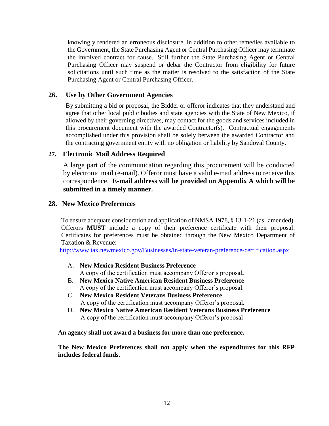knowingly rendered an erroneous disclosure, in addition to other remedies available to the Government, the State Purchasing Agent or Central Purchasing Officer may terminate the involved contract for cause. Still further the State Purchasing Agent or Central Purchasing Officer may suspend or debar the Contractor from eligibility for future solicitations until such time as the matter is resolved to the satisfaction of the State Purchasing Agent or Central Purchasing Officer.

#### **26. Use by Other Government Agencies**

By submitting a bid or proposal, the Bidder or offeror indicates that they understand and agree that other local public bodies and state agencies with the State of New Mexico, if allowed by their governing directives, may contact for the goods and services included in this procurement document with the awarded Contractor(s). Contractual engagements accomplished under this provision shall be solely between the awarded Contractor and the contracting government entity with no obligation or liability by Sandoval County.

#### **27. Electronic Mail Address Required**

A large part of the communication regarding this procurement will be conducted by electronic mail (e-mail). Offeror must have a valid e-mail address to receive this correspondence. **E-mail address will be provided on Appendix A which will be submitted in a timely manner.**

#### **28. New Mexico Preferences**

To ensure adequate consideration and application of NMSA 1978, § 13-1-21 (as amended). Offerors **MUST** include a copy of their preference certificate with their proposal. Certificates for preferences must be obtained through the New Mexico Department of Taxation & Revenue:

[http://www.tax.newmexico.gov/Businesses/in-state-veteran-preference-certification.aspx.](http://www.tax.newmexico.gov/Businesses/in-state-veteran-preference-certification.aspx)

- A. **New Mexico Resident Business Preference** A copy of the certification must accompany Offeror's proposal**.**
- B. **New Mexico Native American Resident Business Preference** A copy of the certification must accompany Offeror's proposal.
- C. **New Mexico Resident Veterans Business Preference** A copy of the certification must accompany Offeror's proposal**.**
- D. **New Mexico Native American Resident Veterans Business Preference** A copy of the certification must accompany Offeror's proposal

**An agency shall not award a business for more than one preference.** 

**The New Mexico Preferences shall not apply when the expenditures for this RFP includes federal funds.**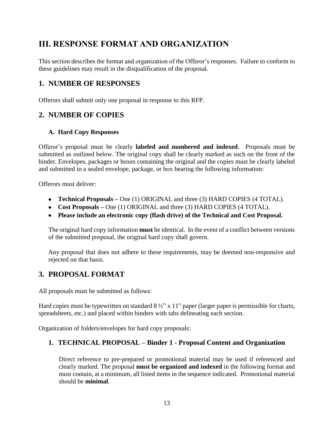## **III. RESPONSE FORMAT AND ORGANIZATION**

This section describes the format and organization of the Offeror's responses. Failure to conform to these guidelines may result in the disqualification of the proposal.

### **1. NUMBER OF RESPONSES**

Offerors shall submit only one proposal in response to this RFP.

### **2. NUMBER OF COPIES**

#### **A. Hard Copy Responses**

Offeror's proposal must be clearly **labeled and numbered and indexed**. Proposals must be submitted as outlined below. The original copy shall be clearly marked as such on the front of the binder. Envelopes, packages or boxes containing the original and the copies must be clearly labeled and submitted in a sealed envelope, package, or box bearing the following information:

Offerors must deliver:

- **Technical Proposals –** One (1) ORIGINAL and three (3) HARD COPIES (4 TOTAL).
- Cost Proposals One (1) ORIGINAL and three (3) HARD COPIES (4 TOTAL).
- **Please include an electronic copy (flash drive) of the Technical and Cost Proposal.**

The original hard copy information **must** be identical. In the event of a conflict between versions of the submitted proposal, the original hard copy shall govern.

Any proposal that does not adhere to these requirements, may be deemed non-responsive and rejected on that basis.

### **3. PROPOSAL FORMAT**

All proposals must be submitted as follows:

Hard copies must be typewritten on standard  $8\frac{1}{2}$ " x 11" paper (larger paper is permissible for charts, spreadsheets, etc.) and placed within binders with tabs delineating each section.

Organization of folders/envelopes for hard copy proposals:

#### **1. TECHNICAL PROPOSAL – Binder 1 - Proposal Content and Organization**

Direct reference to pre-prepared or promotional material may be used if referenced and clearly marked. The proposal **must be organized and indexed** in the following format and must contain, at a minimum, all listed items in the sequence indicated. Promotional material should be **minimal**.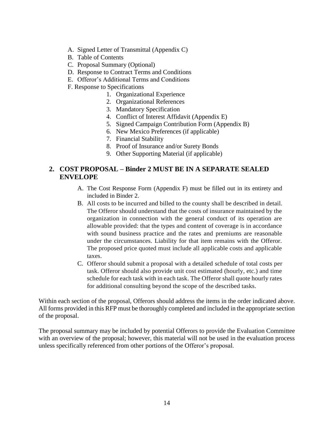- A. Signed Letter of Transmittal (Appendix C)
- B. Table of Contents
- C. Proposal Summary (Optional)
- D. Response to Contract Terms and Conditions
- E. Offeror's Additional Terms and Conditions
- F. Response to Specifications
	- 1. Organizational Experience
	- 2. Organizational References
	- 3. Mandatory Specification
	- 4. Conflict of Interest Affidavit (Appendix E)
	- 5. Signed Campaign Contribution Form (Appendix B)
	- 6. New Mexico Preferences (if applicable)
	- 7. Financial Stability
	- 8. Proof of Insurance and/or Surety Bonds
	- 9. Other Supporting Material (if applicable)

#### **2. COST PROPOSAL – Binder 2 MUST BE IN A SEPARATE SEALED ENVELOPE**

- A. The Cost Response Form (Appendix F) must be filled out in its entirety and included in Binder 2.
- B. All costs to be incurred and billed to the county shall be described in detail. The Offeror should understand that the costs of insurance maintained by the organization in connection with the general conduct of its operation are allowable provided: that the types and content of coverage is in accordance with sound business practice and the rates and premiums are reasonable under the circumstances. Liability for that item remains with the Offeror. The proposed price quoted must include all applicable costs and applicable taxes.
- C. Offeror should submit a proposal with a detailed schedule of total costs per task. Offeror should also provide unit cost estimated (hourly, etc.) and time schedule for each task with in each task. The Offeror shall quote hourly rates for additional consulting beyond the scope of the described tasks.

Within each section of the proposal, Offerors should address the items in the order indicated above. All forms provided in this RFP must be thoroughly completed and included in the appropriate section of the proposal.

The proposal summary may be included by potential Offerors to provide the Evaluation Committee with an overview of the proposal; however, this material will not be used in the evaluation process unless specifically referenced from other portions of the Offeror's proposal.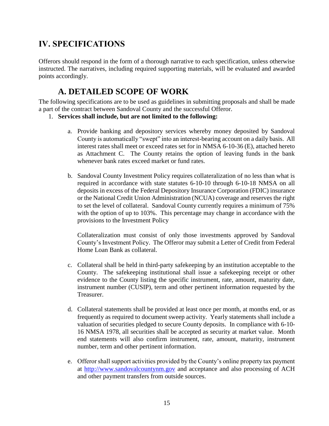## **IV. SPECIFICATIONS**

Offerors should respond in the form of a thorough narrative to each specification, unless otherwise instructed. The narratives, including required supporting materials, will be evaluated and awarded points accordingly.

## **A. DETAILED SCOPE OF WORK**

The following specifications are to be used as guidelines in submitting proposals and shall be made a part of the contract between Sandoval County and the successful Offeror.

- 1. **Services shall include, but are not limited to the following:**
	- a. Provide banking and depository services whereby money deposited by Sandoval County is automatically "swept" into an interest-bearing account on a daily basis. All interest rates shall meet or exceed rates set for in NMSA 6-10-36 (E), attached hereto as Attachment C. The County retains the option of leaving funds in the bank whenever bank rates exceed market or fund rates.
	- b. Sandoval County Investment Policy requires collateralization of no less than what is required in accordance with state statutes 6-10-10 through 6-10-18 NMSA on all deposits in excess of the Federal Depository Insurance Corporation (FDIC) insurance or the National Credit Union Administration (NCUA) coverage and reserves the right to set the level of collateral. Sandoval County currently requires a minimum of 75% with the option of up to 103%. This percentage may change in accordance with the provisions to the Investment Policy

Collateralization must consist of only those investments approved by Sandoval County's Investment Policy. The Offeror may submit a Letter of Credit from Federal Home Loan Bank as collateral.

- c. Collateral shall be held in third-party safekeeping by an institution acceptable to the County. The safekeeping institutional shall issue a safekeeping receipt or other evidence to the County listing the specific instrument, rate, amount, maturity date, instrument number (CUSIP), term and other pertinent information requested by the Treasurer.
- d. Collateral statements shall be provided at least once per month, at months end, or as frequently as required to document sweep activity. Yearly statements shall include a valuation of securities pledged to secure County deposits. In compliance with 6-10- 16 NMSA 1978, all securities shall be accepted as security at market value. Month end statements will also confirm instrument, rate, amount, maturity, instrument number, term and other pertinent information.
- e. Offeror shall support activities provided by the County's online property tax payment at [http://www.sandovalcountynm.gov](http://www.sandovalcountynm.gov/) and acceptance and also processing of ACH and other payment transfers from outside sources.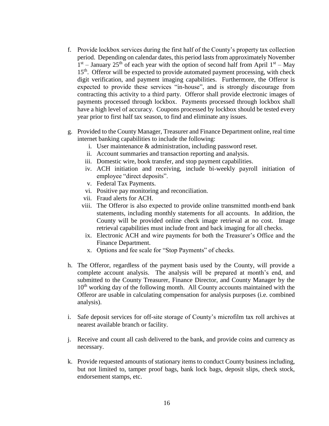- f. Provide lockbox services during the first half of the County's property tax collection period. Depending on calendar dates, this period lasts from approximately November  $1<sup>st</sup>$  – January 25<sup>th</sup> of each year with the option of second half from April  $1<sup>st</sup>$  – May 15<sup>th</sup>. Offeror will be expected to provide automated payment processing, with check digit verification, and payment imaging capabilities. Furthermore, the Offeror is expected to provide these services "in-house", and is strongly discourage from contracting this activity to a third party. Offeror shall provide electronic images of payments processed through lockbox. Payments processed through lockbox shall have a high level of accuracy. Coupons processed by lockbox should be tested every year prior to first half tax season, to find and eliminate any issues.
- g. Provided to the County Manager, Treasurer and Finance Department online, real time internet banking capabilities to include the following:
	- i. User maintenance & administration, including password reset.
	- ii. Account summaries and transaction reporting and analysis.
	- iii. Domestic wire, book transfer, and stop payment capabilities.
	- iv. ACH initiation and receiving, include bi-weekly payroll initiation of employee "direct deposits".
	- v. Federal Tax Payments.
	- vi. Positive pay monitoring and reconciliation.
	- vii. Fraud alerts for ACH.
	- viii. The Offeror is also expected to provide online transmitted month-end bank statements, including monthly statements for all accounts. In addition, the County will be provided online check image retrieval at no cost. Image retrieval capabilities must include front and back imaging for all checks.
		- ix. Electronic ACH and wire payments for both the Treasurer's Office and the Finance Department.
		- x. Options and fee scale for "Stop Payments" of checks.
- h. The Offeror, regardless of the payment basis used by the County, will provide a complete account analysis. The analysis will be prepared at month's end, and submitted to the County Treasurer, Finance Director, and County Manager by the  $10<sup>th</sup>$  working day of the following month. All County accounts maintained with the Offeror are usable in calculating compensation for analysis purposes (i.e. combined analysis).
- i. Safe deposit services for off-site storage of County's microfilm tax roll archives at nearest available branch or facility.
- j. Receive and count all cash delivered to the bank, and provide coins and currency as necessary.
- k. Provide requested amounts of stationary items to conduct County business including, but not limited to, tamper proof bags, bank lock bags, deposit slips, check stock, endorsement stamps, etc.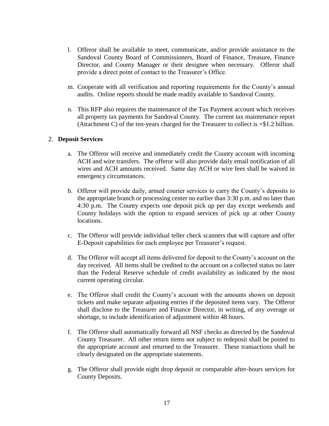- l. Offeror shall be available to meet, communicate, and/or provide assistance to the Sandoval County Board of Commissioners, Board of Finance, Treasure, Finance Director, and County Manager or their designee when necessary. Offeror shall provide a direct point of contact to the Treasurer's Office.
- m. Cooperate with all verification and reporting requirements for the County's annual audits. Online reports should be made readily available to Sandoval County.
- n. This RFP also requires the maintenance of the Tax Payment account which receives all property tax payments for Sandoval County. The current tax maintenance report (Attachment C) of the ten-years charged for the Treasurer to collect is +\$1.2 billion.

#### 2. **Deposit Services**

- a. The Offeror will receive and immediately credit the County account with incoming ACH and wire transfers. The offeror will also provide daily email notification of all wires and ACH amounts received. Same day ACH or wire fees shall be waived in emergency circumstances.
- b. Offeror will provide daily, armed courier services to carry the County's deposits to the appropriate branch or processing center no earlier than 3:30 p.m. and no later than 4:30 p.m. The County expects one deposit pick up per day except weekends and County holidays with the option to expand services of pick up at other County locations.
- c. The Offeror will provide individual teller check scanners that will capture and offer E-Deposit capabilities for each employee per Treasurer's request.
- d. The Offeror will accept all items delivered for deposit to the County's account on the day received. All items shall be credited to the account on a collected status no later than the Federal Reserve schedule of credit availability as indicated by the most current operating circular.
- e. The Offeror shall credit the County's account with the amounts shown on deposit tickets and make separate adjusting entries if the deposited items vary. The Offeror shall disclose to the Treasurer and Finance Director, in writing, of any overage or shortage, to include identification of adjustment within 48 hours.
- f. The Offeror shall automatically forward all NSF checks as directed by the Sandoval County Treasurer. All other return items not subject to redeposit shall be posted to the appropriate account and returned to the Treasurer. These transactions shall be clearly designated on the appropriate statements.
- g. The Offeror shall provide night drop deposit or comparable after-hours services for County Deposits.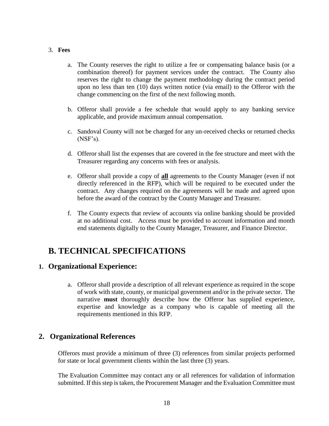#### 3. **Fees**

- a. The County reserves the right to utilize a fee or compensating balance basis (or a combination thereof) for payment services under the contract. The County also reserves the right to change the payment methodology during the contract period upon no less than ten (10) days written notice (via email) to the Offeror with the change commencing on the first of the next following month.
- b. Offeror shall provide a fee schedule that would apply to any banking service applicable, and provide maximum annual compensation.
- c. Sandoval County will not be charged for any un-received checks or returned checks (NSF's).
- d. Offeror shall list the expenses that are covered in the fee structure and meet with the Treasurer regarding any concerns with fees or analysis.
- e. Offeror shall provide a copy of **all** agreements to the County Manager (even if not directly referenced in the RFP), which will be required to be executed under the contract. Any changes required on the agreements will be made and agreed upon before the award of the contract by the County Manager and Treasurer.
- f. The County expects that review of accounts via online banking should be provided at no additional cost. Access must be provided to account information and month end statements digitally to the County Manager, Treasurer, and Finance Director.

## **B. TECHNICAL SPECIFICATIONS**

#### **1. Organizational Experience:**

a. Offeror shall provide a description of all relevant experience as required in the scope of work with state, county, or municipal government and/or in the private sector. The narrative **must** thoroughly describe how the Offeror has supplied experience, expertise and knowledge as a company who is capable of meeting all the requirements mentioned in this RFP.

#### **2. Organizational References**

Offerors must provide a minimum of three (3) references from similar projects performed for state or local government clients within the last three (3) years.

The Evaluation Committee may contact any or all references for validation of information submitted. If this step is taken, the Procurement Manager and the Evaluation Committee must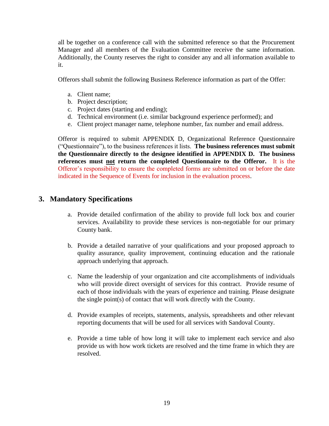all be together on a conference call with the submitted reference so that the Procurement Manager and all members of the Evaluation Committee receive the same information. Additionally, the County reserves the right to consider any and all information available to it.

Offerors shall submit the following Business Reference information as part of the Offer:

- a. Client name;
- b. Project description;
- c. Project dates (starting and ending);
- d. Technical environment (i.e. similar background experience performed); and
- e. Client project manager name, telephone number, fax number and email address.

Offeror is required to submit APPENDIX D, Organizational Reference Questionnaire ("Questionnaire"), to the business references it lists. **The business references must submit the Questionnaire directly to the designee identified in APPENDIX D. The business references must not return the completed Questionnaire to the Offeror.** It is the Offeror's responsibility to ensure the completed forms are submitted on or before the date indicated in the Sequence of Events for inclusion in the evaluation process.

#### **3. Mandatory Specifications**

- a. Provide detailed confirmation of the ability to provide full lock box and courier services. Availability to provide these services is non-negotiable for our primary County bank.
- b. Provide a detailed narrative of your qualifications and your proposed approach to quality assurance, quality improvement, continuing education and the rationale approach underlying that approach.
- c. Name the leadership of your organization and cite accomplishments of individuals who will provide direct oversight of services for this contract. Provide resume of each of those individuals with the years of experience and training. Please designate the single point(s) of contact that will work directly with the County.
- d. Provide examples of receipts, statements, analysis, spreadsheets and other relevant reporting documents that will be used for all services with Sandoval County.
- e. Provide a time table of how long it will take to implement each service and also provide us with how work tickets are resolved and the time frame in which they are resolved.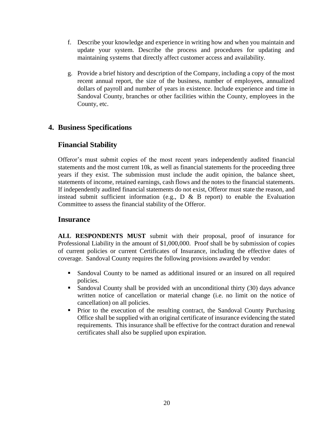- f. Describe your knowledge and experience in writing how and when you maintain and update your system. Describe the process and procedures for updating and maintaining systems that directly affect customer access and availability.
- g. Provide a brief history and description of the Company, including a copy of the most recent annual report, the size of the business, number of employees, annualized dollars of payroll and number of years in existence. Include experience and time in Sandoval County, branches or other facilities within the County, employees in the County, etc.

### **4. Business Specifications**

### **Financial Stability**

Offeror's must submit copies of the most recent years independently audited financial statements and the most current 10k, as well as financial statements for the proceeding three years if they exist. The submission must include the audit opinion, the balance sheet, statements of income, retained earnings, cash flows and the notes to the financial statements. If independently audited financial statements do not exist, Offeror must state the reason, and instead submit sufficient information (e.g.,  $D \& B$  report) to enable the Evaluation Committee to assess the financial stability of the Offeror.

#### **Insurance**

**ALL RESPONDENTS MUST** submit with their proposal, proof of insurance for Professional Liability in the amount of \$1,000,000. Proof shall be by submission of copies of current policies or current Certificates of Insurance, including the effective dates of coverage. Sandoval County requires the following provisions awarded by vendor:

- Sandoval County to be named as additional insured or an insured on all required policies.
- Sandoval County shall be provided with an unconditional thirty (30) days advance written notice of cancellation or material change (i.e. no limit on the notice of cancellation) on all policies.
- Prior to the execution of the resulting contract, the Sandoval County Purchasing Office shall be supplied with an original certificate of insurance evidencing the stated requirements. This insurance shall be effective for the contract duration and renewal certificates shall also be supplied upon expiration.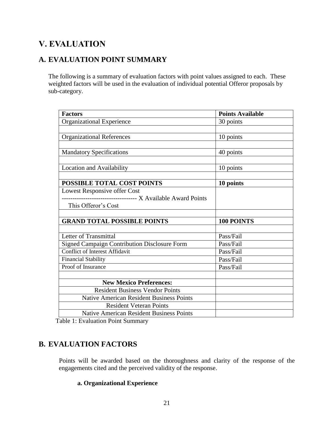## **V. EVALUATION**

### **A. EVALUATION POINT SUMMARY**

The following is a summary of evaluation factors with point values assigned to each. These weighted factors will be used in the evaluation of individual potential Offeror proposals by sub-category.

| <b>Factors</b>                                              | <b>Points Available</b> |
|-------------------------------------------------------------|-------------------------|
| <b>Organizational Experience</b>                            | 30 points               |
|                                                             |                         |
| <b>Organizational References</b>                            | 10 points               |
|                                                             |                         |
| <b>Mandatory Specifications</b>                             | 40 points               |
|                                                             |                         |
| Location and Availability                                   | 10 points               |
|                                                             |                         |
| POSSIBLE TOTAL COST POINTS                                  | 10 points               |
| Lowest Responsive offer Cost                                |                         |
| ---------------------------------- X Available Award Points |                         |
| This Offeror's Cost                                         |                         |
|                                                             |                         |
| <b>GRAND TOTAL POSSIBLE POINTS</b>                          | 100 POINTS              |
|                                                             |                         |
| Letter of Transmittal                                       | Pass/Fail               |
| <b>Signed Campaign Contribution Disclosure Form</b>         | Pass/Fail               |
| <b>Conflict of Interest Affidavit</b>                       | Pass/Fail               |
| <b>Financial Stability</b>                                  | Pass/Fail               |
| Proof of Insurance                                          | Pass/Fail               |
|                                                             |                         |
| <b>New Mexico Preferences:</b>                              |                         |
| <b>Resident Business Vendor Points</b>                      |                         |
| <b>Native American Resident Business Points</b>             |                         |
| <b>Resident Veteran Points</b>                              |                         |
| <b>Native American Resident Business Points</b>             |                         |

Table 1: Evaluation Point Summary

### **B. EVALUATION FACTORS**

**<sup>3</sup>**Points will be awarded based on the thoroughness and clarity of the response of the engagements cited and the perceived validity of the response.

#### **a. Organizational Experience**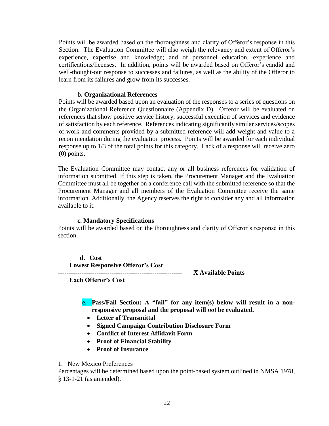Points will be awarded based on the thoroughness and clarity of Offeror's response in this Section. The Evaluation Committee will also weigh the relevancy and extent of Offeror's experience, expertise and knowledge; and of personnel education, experience and certifications/licenses. In addition, points will be awarded based on Offeror's candid and well-thought-out response to successes and failures, as well as the ability of the Offeror to learn from its failures and grow from its successes.

#### **b. Organizational References**

Points will be awarded based upon an evaluation of the responses to a series of questions on the Organizational Reference Questionnaire (Appendix D). Offeror will be evaluated on references that show positive service history, successful execution of services and evidence of satisfaction by each reference. References indicating significantly similar services/scopes of work and comments provided by a submitted reference will add weight and value to a recommendation during the evaluation process. Points will be awarded for each individual response up to 1/3 of the total points for this category. Lack of a response will receive zero (0) points.

The Evaluation Committee may contact any or all business references for validation of information submitted. If this step is taken, the Procurement Manager and the Evaluation Committee must all be together on a conference call with the submitted reference so that the Procurement Manager and all members of the Evaluation Committee receive the same information. Additionally, the Agency reserves the right to consider any and all information available to it.

#### **c. Mandatory Specifications**

Points will be awarded based on the thoroughness and clarity of Offeror's response in this section.

**d. Cost Lowest Responsive Offeror's Cost ---------------------------------------------------------- X Available Points**

 **Each Offeror's Cost**

- **e. Pass/Fail Section: A "fail" for any item(s) below will result in a nonresponsive proposal and the proposal will** *not* **be evaluated.** 
	- **Letter of Transmittal**
	- **Signed Campaign Contribution Disclosure Form**
	- **Conflict of Interest Affidavit Form**
	- **Proof of Financial Stability**
	- **Proof of Insurance**

#### 1. New Mexico Preferences

Percentages will be determined based upon the point-based system outlined in NMSA 1978, § 13-1-21 (as amended).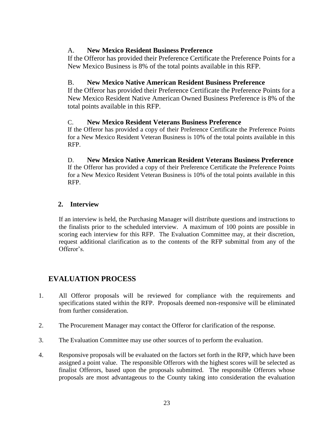#### A. **New Mexico Resident Business Preference**

If the Offeror has provided their Preference Certificate the Preference Points for a New Mexico Business is 8% of the total points available in this RFP.

#### B. **New Mexico Native American Resident Business Preference**

If the Offeror has provided their Preference Certificate the Preference Points for a New Mexico Resident Native American Owned Business Preference is 8% of the total points available in this RFP.

#### C. **New Mexico Resident Veterans Business Preference**

If the Offeror has provided a copy of their Preference Certificate the Preference Points for a New Mexico Resident Veteran Business is 10% of the total points available in this RFP.

D. **New Mexico Native American Resident Veterans Business Preference** If the Offeror has provided a copy of their Preference Certificate the Preference Points for a New Mexico Resident Veteran Business is 10% of the total points available in this RFP.

#### **2. Interview**

If an interview is held, the Purchasing Manager will distribute questions and instructions to the finalists prior to the scheduled interview. A maximum of 100 points are possible in scoring each interview for this RFP. The Evaluation Committee may, at their discretion, request additional clarification as to the contents of the RFP submittal from any of the Offeror's.

### **EVALUATION PROCESS**

- 1. All Offeror proposals will be reviewed for compliance with the requirements and specifications stated within the RFP. Proposals deemed non-responsive will be eliminated from further consideration.
- 2. The Procurement Manager may contact the Offeror for clarification of the response.
- 3. The Evaluation Committee may use other sources of to perform the evaluation.
- 4. Responsive proposals will be evaluated on the factors set forth in the RFP, which have been assigned a point value. The responsible Offerors with the highest scores will be selected as finalist Offerors, based upon the proposals submitted. The responsible Offerors whose proposals are most advantageous to the County taking into consideration the evaluation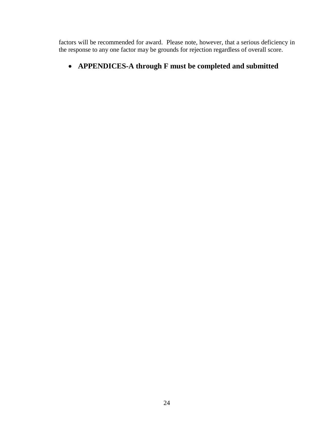factors will be recommended for award. Please note, however, that a serious deficiency in the response to any one factor may be grounds for rejection regardless of overall score.

### **APPENDICES-A through F must be completed and submitted**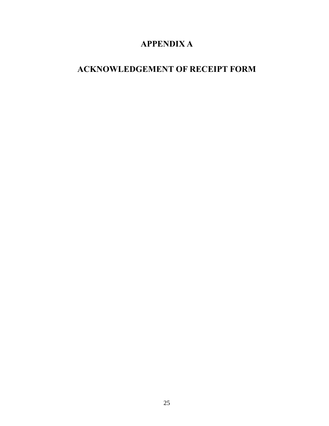## **APPENDIX A**

## **ACKNOWLEDGEMENT OF RECEIPT FORM**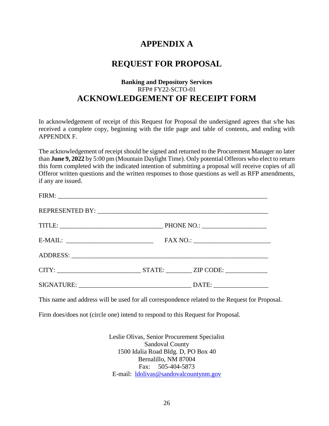### **APPENDIX A**

### **REQUEST FOR PROPOSAL**

#### **Banking and Depository Services** RFP# FY22-SCTO-01 **ACKNOWLEDGEMENT OF RECEIPT FORM**

In acknowledgement of receipt of this Request for Proposal the undersigned agrees that s/he has received a complete copy, beginning with the title page and table of contents, and ending with APPENDIX F.

The acknowledgement of receipt should be signed and returned to the Procurement Manager no later than **June 9, 2022** by 5:00 pm (Mountain Daylight Time). Only potential Offerors who elect to return this form completed with the indicated intention of submitting a proposal will receive copies of all Offeror written questions and the written responses to those questions as well as RFP amendments, if any are issued.

| CITY: STATE: ZIP CODE: |  |
|------------------------|--|
|                        |  |

This name and address will be used for all correspondence related to the Request for Proposal.

Firm does/does not (circle one) intend to respond to this Request for Proposal.

Leslie Olivas, Senior Procurement Specialist Sandoval County 1500 Idalia Road Bldg. D, PO Box 40 Bernalillo, NM 87004 Fax: 505-404-5873 E-mail: [ldolivas@sandovalcountynm.gov](mailto:ldolivas@sandovalcountynm.gov)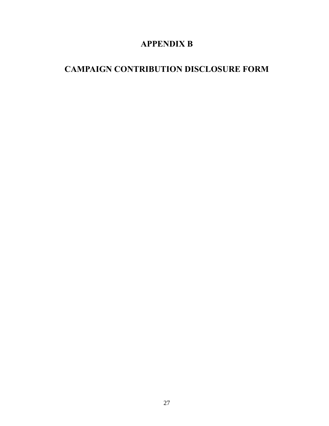## **APPENDIX B**

## **CAMPAIGN CONTRIBUTION DISCLOSURE FORM**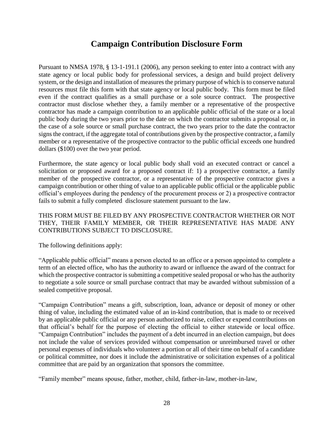### **Campaign Contribution Disclosure Form**

Pursuant to NMSA 1978, § 13-1-191.1 (2006), any person seeking to enter into a contract with any state agency or local public body for professional services, a design and build project delivery system, or the design and installation of measures the primary purpose of which is to conserve natural resources must file this form with that state agency or local public body. This form must be filed even if the contract qualifies as a small purchase or a sole source contract. The prospective contractor must disclose whether they, a family member or a representative of the prospective contractor has made a campaign contribution to an applicable public official of the state or a local public body during the two years prior to the date on which the contractor submits a proposal or, in the case of a sole source or small purchase contract, the two years prior to the date the contractor signs the contract, if the aggregate total of contributions given by the prospective contractor, a family member or a representative of the prospective contractor to the public official exceeds one hundred dollars (\$100) over the two year period.

Furthermore, the state agency or local public body shall void an executed contract or cancel a solicitation or proposed award for a proposed contract if: 1) a prospective contractor, a family member of the prospective contractor, or a representative of the prospective contractor gives a campaign contribution or other thing of value to an applicable public official or the applicable public official's employees during the pendency of the procurement process or 2) a prospective contractor fails to submit a fully completed disclosure statement pursuant to the law.

THIS FORM MUST BE FILED BY ANY PROSPECTIVE CONTRACTOR WHETHER OR NOT THEY, THEIR FAMILY MEMBER, OR THEIR REPRESENTATIVE HAS MADE ANY CONTRIBUTIONS SUBJECT TO DISCLOSURE.

The following definitions apply:

"Applicable public official" means a person elected to an office or a person appointed to complete a term of an elected office, who has the authority to award or influence the award of the contract for which the prospective contractor is submitting a competitive sealed proposal or who has the authority to negotiate a sole source or small purchase contract that may be awarded without submission of a sealed competitive proposal.

"Campaign Contribution" means a gift, subscription, loan, advance or deposit of money or other thing of value, including the estimated value of an in-kind contribution, that is made to or received by an applicable public official or any person authorized to raise, collect or expend contributions on that official's behalf for the purpose of electing the official to either statewide or local office. "Campaign Contribution" includes the payment of a debt incurred in an election campaign, but does not include the value of services provided without compensation or unreimbursed travel or other personal expenses of individuals who volunteer a portion or all of their time on behalf of a candidate or political committee, nor does it include the administrative or solicitation expenses of a political committee that are paid by an organization that sponsors the committee.

"Family member" means spouse, father, mother, child, father-in-law, mother-in-law,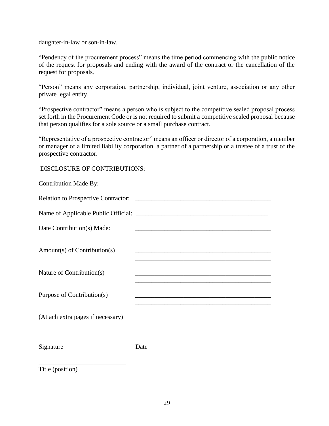daughter-in-law or son-in-law.

"Pendency of the procurement process" means the time period commencing with the public notice of the request for proposals and ending with the award of the contract or the cancellation of the request for proposals.

"Person" means any corporation, partnership, individual, joint venture, association or any other private legal entity.

"Prospective contractor" means a person who is subject to the competitive sealed proposal process set forth in the Procurement Code or is not required to submit a competitive sealed proposal because that person qualifies for a sole source or a small purchase contract.

"Representative of a prospective contractor" means an officer or director of a corporation, a member or manager of a limited liability corporation, a partner of a partnership or a trustee of a trust of the prospective contractor.

DISCLOSURE OF CONTRIBUTIONS:

| <b>Contribution Made By:</b>      | the control of the control of the control of the control of the control of the control of                                    |
|-----------------------------------|------------------------------------------------------------------------------------------------------------------------------|
|                                   |                                                                                                                              |
|                                   |                                                                                                                              |
| Date Contribution(s) Made:        |                                                                                                                              |
| Amount(s) of Contribution(s)      |                                                                                                                              |
| Nature of Contribution(s)         |                                                                                                                              |
| Purpose of Contribution(s)        |                                                                                                                              |
| (Attach extra pages if necessary) |                                                                                                                              |
| Signature                         | <u> 1980 - Jan James James Jan James James Jan James James James James James James James James James James James</u><br>Date |
|                                   |                                                                                                                              |

Title (position)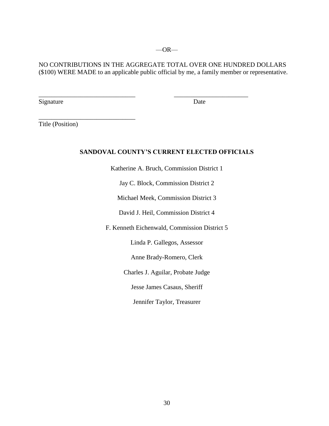NO CONTRIBUTIONS IN THE AGGREGATE TOTAL OVER ONE HUNDRED DOLLARS (\$100) WERE MADE to an applicable public official by me, a family member or representative.

\_\_\_\_\_\_\_\_\_\_\_\_\_\_\_\_\_\_\_\_\_\_\_\_\_\_\_\_\_\_ \_\_\_\_\_\_\_\_\_\_\_\_\_\_\_\_\_\_\_\_\_\_\_

Signature Date

Title (Position)

\_\_\_\_\_\_\_\_\_\_\_\_\_\_\_\_\_\_\_\_\_\_\_\_\_\_\_\_\_\_

#### **SANDOVAL COUNTY'S CURRENT ELECTED OFFICIALS**

Katherine A. Bruch, Commission District 1

Jay C. Block, Commission District 2

Michael Meek, Commission District 3

David J. Heil, Commission District 4

F. Kenneth Eichenwald, Commission District 5

Linda P. Gallegos, Assessor

Anne Brady-Romero, Clerk

Charles J. Aguilar, Probate Judge

Jesse James Casaus, Sheriff

Jennifer Taylor, Treasurer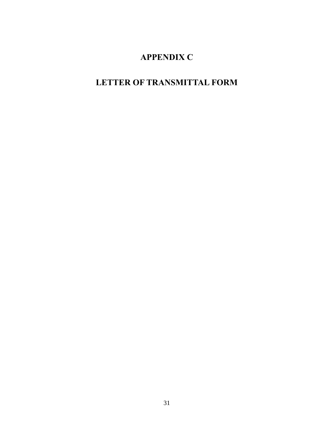## **APPENDIX C**

## **LETTER OF TRANSMITTAL FORM**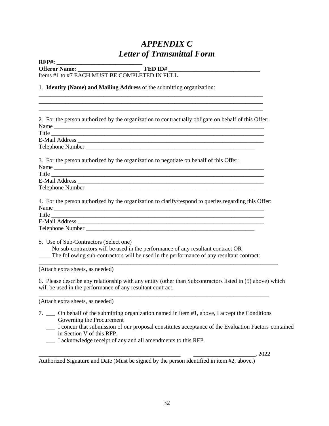## *APPENDIX C Letter of Transmittal Form*

**RFP#: \_\_\_\_\_\_\_\_\_\_\_\_\_\_\_\_\_\_\_\_\_\_\_\_\_\_\_\_\_**

**Offeror Name: \_\_\_\_\_\_\_\_\_\_\_\_\_\_\_\_\_\_\_\_\_ FED ID# \_\_\_\_\_\_\_\_\_\_\_\_\_\_\_\_\_\_\_\_\_\_\_\_\_\_\_\_\_\_\_**

\_\_\_\_\_\_\_\_\_\_\_\_\_\_\_\_\_\_\_\_\_\_\_\_\_\_\_\_\_\_\_\_\_\_\_\_\_\_\_\_\_\_\_\_\_\_\_\_\_\_\_\_\_\_\_\_\_\_\_\_\_\_\_\_\_\_\_\_\_\_\_\_\_\_\_\_ \_\_\_\_\_\_\_\_\_\_\_\_\_\_\_\_\_\_\_\_\_\_\_\_\_\_\_\_\_\_\_\_\_\_\_\_\_\_\_\_\_\_\_\_\_\_\_\_\_\_\_\_\_\_\_\_\_\_\_\_\_\_\_\_\_\_\_\_\_\_\_\_\_\_\_\_

Items #1 to #7 EACH MUST BE COMPLETED IN FULL

#### 1. **Identity (Name) and Mailing Address** of the submitting organization:

| 2. For the person authorized by the organization to contractually obligate on behalf of this Offer:                                                                                                                   |
|-----------------------------------------------------------------------------------------------------------------------------------------------------------------------------------------------------------------------|
|                                                                                                                                                                                                                       |
| Title                                                                                                                                                                                                                 |
|                                                                                                                                                                                                                       |
|                                                                                                                                                                                                                       |
| 3. For the person authorized by the organization to negotiate on behalf of this Offer:                                                                                                                                |
|                                                                                                                                                                                                                       |
| Title                                                                                                                                                                                                                 |
|                                                                                                                                                                                                                       |
|                                                                                                                                                                                                                       |
| 4. For the person authorized by the organization to clarify/respond to queries regarding this Offer:                                                                                                                  |
| Title                                                                                                                                                                                                                 |
|                                                                                                                                                                                                                       |
|                                                                                                                                                                                                                       |
| 5. Use of Sub-Contractors (Select one)<br>No sub-contractors will be used in the performance of any resultant contract OR<br>The following sub-contractors will be used in the performance of any resultant contract: |
| (Attach extra sheets, as needed)                                                                                                                                                                                      |
| 6. Please describe any relationship with any entity (other than Subcontractors listed in (5) above) which<br>will be used in the performance of any resultant contract.                                               |

(Attach extra sheets, as needed)

- 7. \_\_\_ On behalf of the submitting organization named in item #1, above, I accept the Conditions Governing the Procurement
	- \_\_\_ I concur that submission of our proposal constitutes acceptance of the Evaluation Factors contained in Section V of this RFP.
	- \_\_\_ I acknowledge receipt of any and all amendments to this RFP.

\_\_\_\_\_\_\_\_\_\_\_\_\_\_\_\_\_\_\_\_\_\_\_\_\_\_\_\_\_\_\_\_\_\_\_\_\_\_\_\_\_\_\_\_\_\_\_\_ \_\_\_\_\_\_\_\_\_\_\_\_\_\_\_\_\_\_\_\_\_, 2022

Authorized Signature and Date (Must be signed by the person identified in item #2, above.)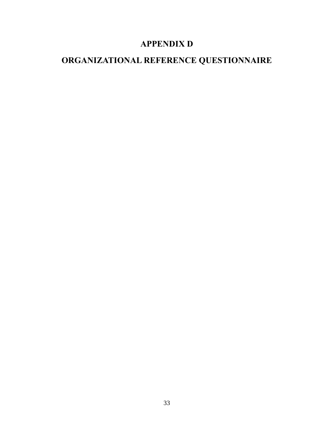## **APPENDIX D**

## **ORGANIZATIONAL REFERENCE QUESTIONNAIRE**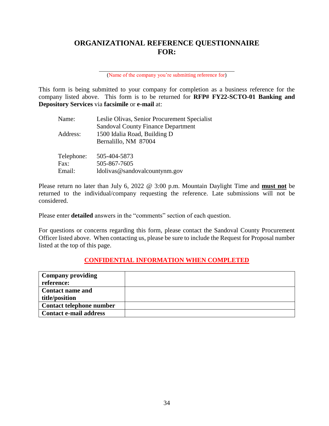### **ORGANIZATIONAL REFERENCE QUESTIONNAIRE FOR:**

(Name of the company you're submitting reference for)

This form is being submitted to your company for completion as a business reference for the company listed above. This form is to be returned for **RFP# FY22-SCTO-01 Banking and Depository Services** via **facsimile** or **e-mail** at:

| Name:      | Leslie Olivas, Senior Procurement Specialist |
|------------|----------------------------------------------|
|            | <b>Sandoval County Finance Department</b>    |
| Address:   | 1500 Idalia Road, Building D                 |
|            | Bernalillo, NM 87004                         |
|            |                                              |
| Telephone: | 505-404-5873                                 |
| Fax:       | 505-867-7605                                 |
| Email:     | ldolivas@sandovalcountynm.gov                |

Please return no later than July 6, 2022 @ 3:00 p.m. Mountain Daylight Time and **must not** be returned to the individual/company requesting the reference. Late submissions will not be considered.

Please enter **detailed** answers in the "comments" section of each question.

For questions or concerns regarding this form, please contact the Sandoval County Procurement Officer listed above. When contacting us, please be sure to include the Request for Proposal number listed at the top of this page.

#### **CONFIDENTIAL INFORMATION WHEN COMPLETED**

| <b>Company providing</b>      |  |
|-------------------------------|--|
| reference:                    |  |
| <b>Contact name and</b>       |  |
| title/position                |  |
| Contact telephone number      |  |
| <b>Contact e-mail address</b> |  |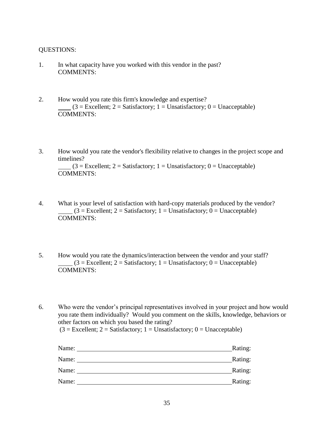#### QUESTIONS:

- 1. In what capacity have you worked with this vendor in the past? COMMENTS:
- 2. How would you rate this firm's knowledge and expertise?  $(3 = Excellent; 2 = Satisfactory; 1 = Unsatisfactory; 0 = Unacceptable)$ COMMENTS:
- 3. How would you rate the vendor's flexibility relative to changes in the project scope and timelines?  $(3 = Excellent; 2 = Satisfactory; 1 = Unsatisfactory; 0 = Unacceptable)$ COMMENTS:
- 4. What is your level of satisfaction with hard-copy materials produced by the vendor?  $(3 = Excellent; 2 = Satisfactory; 1 = Unsatisfactory; 0 = Unacceptable)$ COMMENTS:
- 5. How would you rate the dynamics/interaction between the vendor and your staff?  $(3 = Excellent; 2 = Satisfactory; 1 = Unsatisfactory; 0 = Unacceptable)$ COMMENTS:

6. Who were the vendor's principal representatives involved in your project and how would you rate them individually? Would you comment on the skills, knowledge, behaviors or other factors on which you based the rating?

 $(3 = Excellent; 2 = Satisfactory; 1 = Unsatisfactory; 0 = Unacceptable)$ 

| Name: | Rating: |
|-------|---------|
| Name: | Rating: |
| Name: | Rating: |
| Name: | Rating: |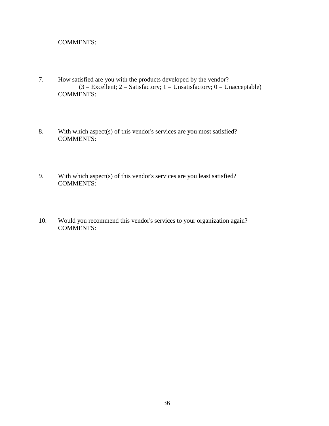#### COMMENTS:

- 7. How satisfied are you with the products developed by the vendor?  $(3 = \text{Excellent}; 2 = \text{Satisfactory}; 1 = \text{Unsatisfactory}; 0 = \text{Unacceptable})$  $\overline{\text{COMMENTS:}}$
- 8. With which aspect(s) of this vendor's services are you most satisfied? COMMENTS:
- 9. With which aspect(s) of this vendor's services are you least satisfied? COMMENTS:
- 10. Would you recommend this vendor's services to your organization again? COMMENTS: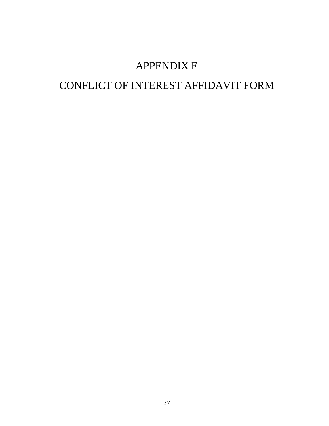## APPENDIX E

## CONFLICT OF INTEREST AFFIDAVIT FORM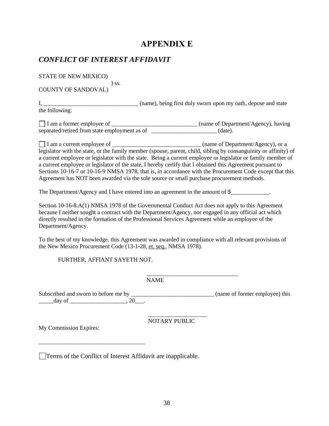### **APPENDIX E**

#### *CONFLICT OF INTEREST AFFIDAVIT*

STATE OF NEW MEXICO)

 ) ss. COUNTY OF SANDOVAL)

I, \_\_\_\_\_\_\_\_\_\_\_\_\_\_\_\_\_\_\_\_\_\_\_\_\_\_\_\_\_\_\_\_ (name), being first duly sworn upon my oath, depose and state the following:

I am a former employee of \_\_\_\_\_\_\_\_\_\_\_\_\_\_\_\_\_\_\_\_\_\_\_\_\_\_\_\_\_ (name of Department/Agency), having separated/retired from state employment as of \_\_\_\_\_\_\_\_\_\_\_\_\_\_\_\_\_\_\_\_\_\_ (date).

I am a current employee of \_\_\_\_\_\_\_\_\_\_\_\_\_\_\_\_\_\_\_\_\_\_\_\_\_\_\_\_\_\_ (name of Department/Agency), or a legislator with the state, or the family member (spouse, parent, child, sibling by consanguinity or affinity) of a current employee or legislator with the state. Being a current employee or legislator or family member of a current employee or legislator of the state, I hereby certify that I obtained this Agreement pursuant to Sections 10-16-7 or 10-16-9 NMSA 1978, that is, in accordance with the Procurement Code except that this Agreement has NOT been awarded via the sole source or small purchase procurement methods.

The Department/Agency and I have entered into an agreement in the amount of \$

Section 10-16-8.A(1) NMSA 1978 of the Governmental Conduct Act does not apply to this Agreement because I neither sought a contract with the Department/Agency, nor engaged in any official act which directly resulted in the formation of the Professional Services Agreement while an employee of the Department/Agency.

To the best of my knowledge, this Agreement was awarded in compliance with all relevant provisions of the New Mexico Procurement Code (13-1-28, et. seq., NMSA 1978).

FURTHER, AFFIANT SAYETH NOT.

NAME

 $\frac{1}{2}$  , and the contract of the contract of the contract of the contract of the contract of the contract of the contract of the contract of the contract of the contract of the contract of the contract of the contract

Subscribed and sworn to before me by \_\_\_\_\_\_\_\_\_\_\_\_\_\_\_\_\_\_\_\_\_\_\_\_\_\_\_\_ (name of former employee) this  $d$ ay of  $\qquad \qquad \ldots$ 

NOTARY PUBLIC

My Commission Expires:

\_\_\_\_\_\_\_\_\_\_\_\_\_\_\_\_\_\_\_\_\_\_\_\_\_\_\_\_\_\_\_\_\_\_\_\_

Terms of the Conflict of Interest Affidavit are inapplicable.

\_\_\_\_\_\_\_\_\_\_\_\_\_\_\_\_\_\_\_\_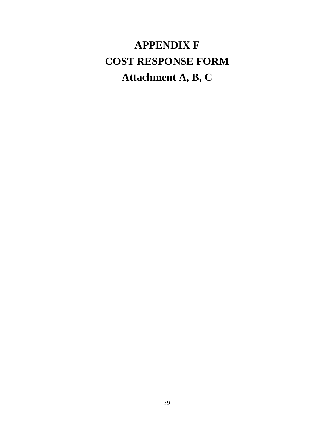# **APPENDIX F COST RESPONSE FORM Attachment A, B, C**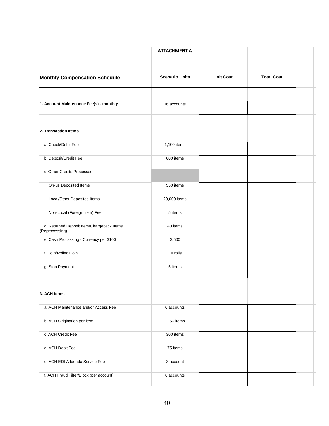|                                                             | <b>ATTACHMENT A</b>   |                  |                   |  |
|-------------------------------------------------------------|-----------------------|------------------|-------------------|--|
|                                                             |                       |                  |                   |  |
| <b>Monthly Compensation Schedule</b>                        | <b>Scenario Units</b> | <b>Unit Cost</b> | <b>Total Cost</b> |  |
|                                                             |                       |                  |                   |  |
| 1. Account Maintenance Fee(s) - monthly                     | 16 accounts           |                  |                   |  |
| 2. Transaction Items                                        |                       |                  |                   |  |
| a. Check/Debit Fee                                          | 1,100 items           |                  |                   |  |
| b. Deposit/Credit Fee                                       | 600 items             |                  |                   |  |
| c. Other Credits Processed                                  |                       |                  |                   |  |
| On-us Deposited Items                                       | 550 items             |                  |                   |  |
| Local/Other Deposited Items                                 | 29,000 items          |                  |                   |  |
| Non-Local (Foreign Item) Fee                                | 5 items               |                  |                   |  |
| d. Returned Deposit Item/Chargeback Items<br>(Reprocessing) | 40 items              |                  |                   |  |
| e. Cash Processing - Currency per \$100                     | 3,500                 |                  |                   |  |
| f. Coin/Rolled Coin                                         | 10 rolls              |                  |                   |  |
| g. Stop Payment                                             | 5 items               |                  |                   |  |
|                                                             |                       |                  |                   |  |
| 3. ACH Items                                                |                       |                  |                   |  |
| a. ACH Maintenance and/or Access Fee                        | 6 accounts            |                  |                   |  |
| b. ACH Origination per item                                 | 1250 items            |                  |                   |  |
| c. ACH Credit Fee                                           | 300 items             |                  |                   |  |
| d. ACH Debit Fee                                            | 75 items              |                  |                   |  |
| e. ACH EDI Addenda Service Fee                              | 3 account             |                  |                   |  |
| f. ACH Fraud Filter/Block (per account)                     | 6 accounts            |                  |                   |  |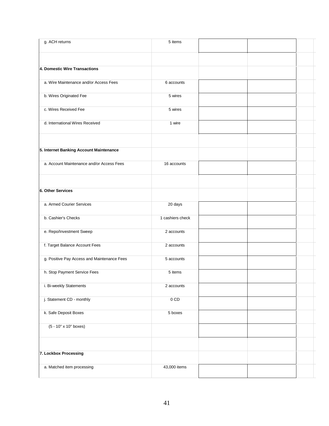| g. ACH returns                              | 5 items          |  |  |
|---------------------------------------------|------------------|--|--|
|                                             |                  |  |  |
| 4. Domestic Wire Transactions               |                  |  |  |
| a. Wire Maintenance and/or Access Fees      | 6 accounts       |  |  |
| b. Wires Originated Fee                     | 5 wires          |  |  |
| c. Wires Received Fee                       | 5 wires          |  |  |
| d. International Wires Received             | 1 wire           |  |  |
|                                             |                  |  |  |
| 5. Internet Banking Account Maintenance     |                  |  |  |
| a. Account Maintenance and/or Access Fees   | 16 accounts      |  |  |
|                                             |                  |  |  |
| 6. Other Services                           |                  |  |  |
| a. Armed Courier Services                   | 20 days          |  |  |
| b. Cashier's Checks                         | 1 cashiers check |  |  |
| e. Repo/Investment Sweep                    | 2 accounts       |  |  |
| f. Target Balance Account Fees              | 2 accounts       |  |  |
| g. Positive Pay Access and Maintenance Fees | 5 accounts       |  |  |
| h. Stop Payment Service Fees                | 5 items          |  |  |
| i. Bi-weekly Statements                     | 2 accounts       |  |  |
| j. Statement CD - monthly                   | $0$ CD           |  |  |
| k. Safe Deposit Boxes                       | 5 boxes          |  |  |
| (5 - 10" x 10" boxes)                       |                  |  |  |
|                                             |                  |  |  |
| 7. Lockbox Processing                       |                  |  |  |
| a. Matched item processing                  | 43,000 items     |  |  |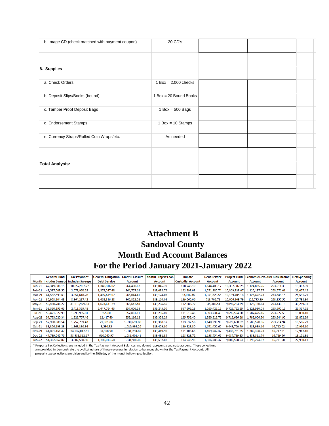| b. Image CD (check matched with payment coupon) | 20 CD's                  |  |  |
|-------------------------------------------------|--------------------------|--|--|
|                                                 |                          |  |  |
| 8. Supplies                                     |                          |  |  |
| a. Check Orders                                 | $1$ Box = 2,000 checks   |  |  |
| b. Deposit Slips/Books (bound)                  | $1$ Box = 20 Bound Books |  |  |
| c. Tamper Proof Deposit Bags                    | $1$ Box = 500 Bags       |  |  |
| d. Endorsement Stamps                           | $1$ Box = 10 Stamps      |  |  |
| e. Currency Straps/Rolled Coin Wraps/etc.       | As needed                |  |  |
|                                                 |                          |  |  |
| <b>Total Analysis:</b>                          |                          |  |  |
|                                                 |                          |  |  |

## **Attachment B Sandoval County Month End Account Balances For the Period January 2021-January 2022**

|               | <b>General Fund</b> | <b>Tax Paymnet</b>                           | <b>General Obligation</b> | <b>Landfill Closure</b> | andfill Project Loan | Inmate                   | <b>Debt Service</b> | <b>Project Fund</b> |                | <b>Economic Dev. AMI Kids Income</b> | <b>Flex Spending</b> |
|---------------|---------------------|----------------------------------------------|---------------------------|-------------------------|----------------------|--------------------------|---------------------|---------------------|----------------|--------------------------------------|----------------------|
|               |                     | <b>Month Includes Sweeps Includes Sweeps</b> | <b>Debt Service</b>       | <b>Account</b>          | <b>Account</b>       | <b>Custodial Account</b> | <b>Account</b>      | <b>Account</b>      | <b>Account</b> | <b>Account</b>                       | <b>Account</b>       |
| $Jan-21$      | 47,349,986.15       | 10,857,957.22                                | 1,340,816.02              | 964,498.67              | 139,045.39           | 128,743.19               | 1,144,489.17        | 10,397,387.25       | 1,124,835.76   | 253,511.33                           | 19,367.39            |
| Feb-21        | 43.537.509.50       | 2,679,970.28                                 | 1,379,247.48              | 964.757.63              | 139,082.72           | 122,293.03               | 1,271,980.74        | 10.369.833.07       | 1,125,137.77   | 253.576.01                           | 21,027.42            |
| $Mar-21$      | 41,582,599.63       | 3,354,618.78                                 | 1,409,659.07              | 965,044.41              | 139,124.06           | 13,014.36                | 1,371,620.55        | 10,189,405.18       | 1,125,472.23   | 253,648.15                           | 26,581.71            |
| Apr-21        | 36,953,104.48       | 8,964,217.42                                 | 1,462,836.28              | 965,322.02              | 139,164.08           | 139,660.06               | 713,702.71          | 10,056,109.79       | 125,795.99     | 253,357.50                           | 27,798.94            |
| $May-21$      | 50.430.786.22       | 41.610.979.33                                | 1,623,631.29              | 865.647.48              | 139,205.45           | 132.885.77               | 345,380.51          | 9.892.283.59        | 1,126,130.64   | 253,430.18                           | 30,269.31            |
| <b>Jun-21</b> | 58,320,195.65       | 2,411,359.48                                 | 2,447,764.43              | 857.606.18              | 139,245.50           | 857,606.18               | 1,265,422.12        | 9,725,762.29        | 1,121,980.08   | 253,500.16                           | 26,367.52            |
| $Jul-21$      | 56,471,327.99       | 1,993,995.81                                 | 955.80                    | 857,861.11              | 139,286.89           | 131,619.45               | 1,393,231.49        | 9,696,594.00        | 1,787,475.16   | 253,572.59                           | 19,090.10            |
| <b>Aug-21</b> | 54,793,020.34       | 1,826,707.46                                 | 12,417.40                 | 858,116.12              | 139,328.29           | 135,755.40               | 1,520,816.79        | 9,712,626.68        | 1,788,006.50   | 253,644.90                           | 21,872.99            |
| <b>Sep-21</b> | 57.990.880.54       | 1,757,759.43                                 | 21,301.88                 | 1,030,691.88            | 139,368.37           | 133,632.56               | 1,648,396.96        | 9.628.680.82        | 1,788,520.86   | 253.714.94                           | 18,566.73            |
| Oct-21        | 39,356,193.23       | 1,963,330.94                                 | 3,530.85                  | 1,030,998.26            | 139,409.80           | 139,328.30               | 1,671,456.60        | 9,449,750.79        | 1,388,999.16   | 16,715.62                            | 17,916.10            |
| <b>Nov-21</b> | 41,891,151.47       | 24,537,047.51                                | 38,958.90                 | 1,031,294.85            | 139,449.90           | 131,105.65               | 1,699,242.37        | 9,436,761.55        | 1,389,398.73   | 16,717.51                            | 17,947.10            |
| <b>Dec-21</b> | 44,739,245.76       | 58,981,812.17                                | 610,260.97                | 1,031,601.41            | 139,491.35           | 128,923.72               | 1,198,754.66        | 9.087.719.85        | 1,389,811.74   | 16,719.56                            | 18,151.91            |
| Jan-22        | 54,362,662.87       | 3,002,588.98                                 | 1,700,013.50              | 1,031,908.06            | 139,532.82           | 134,943.93               | 1,326,286.37        | 9,005,598.93        | 1,390,224.87   | 16,721.90                            | 22,990.17            |

\* Property Tax Collections are included in the Tax Payment Account Balances and do not represent a separate account. These collections are provided to demonstrate the cyclical nature of these revenues in relation to balances shown for the Tax Payment Account. All

property tax collections are disbursed by the 20th day of the month following collection.